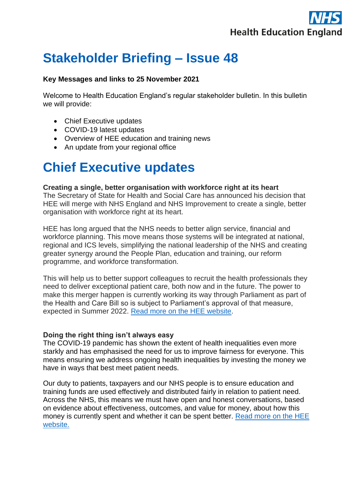

## **Stakeholder Briefing – Issue 48**

#### **Key Messages and links to 25 November 2021**

Welcome to Health Education England's regular stakeholder bulletin. In this bulletin we will provide:

- Chief Executive updates
- COVID-19 latest updates
- Overview of HEE education and training news
- An update from your regional office

## **Chief Executive updates**

#### **Creating a single, better organisation with workforce right at its heart**

The Secretary of State for Health and Social Care has announced his decision that HEE will merge with NHS England and NHS Improvement to create a single, better organisation with workforce right at its heart.

HEE has long argued that the NHS needs to better align service, financial and workforce planning. This move means those systems will be integrated at national, regional and ICS levels, simplifying the national leadership of the NHS and creating greater synergy around the People Plan, education and training, our reform programme, and workforce transformation.

This will help us to better support colleagues to recruit the health professionals they need to deliver exceptional patient care, both now and in the future. The power to make this merger happen is currently working its way through Parliament as part of the Health and Care Bill so is subject to Parliament's approval of that measure, expected in Summer 2022. [Read more on the HEE website.](https://www.hee.nhs.uk/news-blogs-events/blogs/creating-single-better-organisation-workforce-right-its-heart)

#### **Doing the right thing isn't always easy**

The COVID-19 pandemic has shown the extent of health inequalities even more starkly and has emphasised the need for us to improve fairness for everyone. This means ensuring we address ongoing health inequalities by investing the money we have in ways that best meet patient needs.

Our duty to patients, taxpayers and our NHS people is to ensure education and training funds are used effectively and distributed fairly in relation to patient need. Across the NHS, this means we must have open and honest conversations, based on evidence about effectiveness, outcomes, and value for money, about how this money is currently spent and whether it can be spent better. [Read more on the HEE](https://www.hee.nhs.uk/news-blogs-events/blogs/doing-right-thing-isn%E2%80%99t-always-easy)  [website.](https://www.hee.nhs.uk/news-blogs-events/blogs/doing-right-thing-isn%E2%80%99t-always-easy)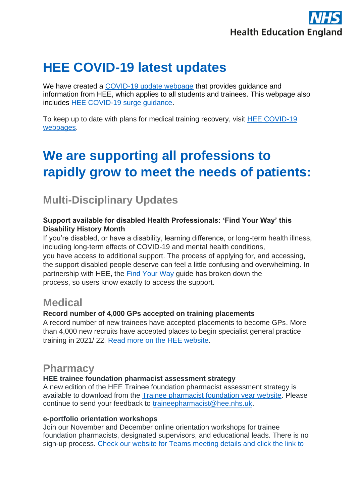

## **HEE COVID-19 latest updates**

We have created a [COVID-19 update webpage](https://www.hee.nhs.uk/covid-19/covid-19-updates-all-professions-october-2020-onwards) that provides guidance and information from HEE, which applies to all students and trainees. This webpage also includes [HEE COVID-19 surge guidance.](https://www.hee.nhs.uk/covid-19/covid-19-updates-all-professions-october-2020-onwards)

To keep up to date with plans for medical training recovery, visit [HEE COVID-19](https://www.hee.nhs.uk/covid-19/training-recovery-support)  [webpages.](https://www.hee.nhs.uk/covid-19/training-recovery-support)

# **We are supporting all professions to rapidly grow to meet the needs of patients:**

### **Multi-Disciplinary Updates**

### **Support available for disabled Health Professionals: 'Find Your Way' this Disability History Month**

If you're disabled, or have a disability, learning difference, or long-term health illness, including long-term effects of COVID-19 and mental health conditions, you have access to additional support. The process of applying for, and accessing, the support disabled people deserve can feel a little confusing and overwhelming. In partnership with HEE, the [Find Your Way](https://diversityandability.com/nhs-toolkit/) guide has broken down the process, so users know exactly to access the support.

### **Medical**

### **Record number of 4,000 GPs accepted on training placements**

A record number of new trainees have accepted placements to become GPs. More than 4,000 new recruits have accepted places to begin specialist general practice training in 2021/ 22. [Read more on the HEE website.](https://www.hee.nhs.uk/news-blogs-events/news/record-number-4000-gps-accepted-training-placements)

### **Pharmacy**

### **HEE trainee foundation pharmacist assessment strategy**

A new edition of the HEE Trainee foundation pharmacist assessment strategy is available to download from the [Trainee pharmacist foundation year website.](https://www.hee.nhs.uk/our-work/pharmacy/trainee-pharmacist-foundation-year-programme) Please continue to send your feedback to [traineepharmacist@hee.nhs.uk.](mailto:traineepharmacist@hee.nhs.uk)

### **e-portfolio orientation workshops**

Join our November and December online orientation workshops for trainee foundation pharmacists, designated supervisors, and educational leads. There is no sign-up process. [Check our website for Teams meeting details and click the link to](https://www.hee.nhs.uk/our-work/pharmacy/initial-education-training-pharmacists-reform-programme/trainee-pharmacist-foundation-year-programme/e-portfolio-downloadable)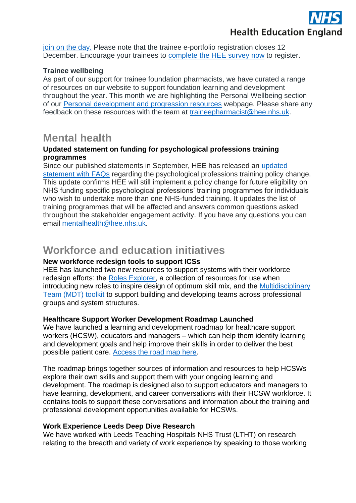

[join on the day.](https://www.hee.nhs.uk/our-work/pharmacy/initial-education-training-pharmacists-reform-programme/trainee-pharmacist-foundation-year-programme/e-portfolio-downloadable) Please note that the trainee e-portfolio registration closes 12 December. Encourage your trainees to [complete the HEE survey](https://protect-eu.mimecast.com/s/5n36C3yPRc93PxyFMIk7j?domain=healtheducationyh.onlinesurveys.ac.uk) now to register.

#### **Trainee wellbeing**

As part of our support for trainee foundation pharmacists, we have curated a range of resources on our website to support foundation learning and development throughout the year. This month we are highlighting the Personal Wellbeing section of our [Personal development and progression resources](https://protect-eu.mimecast.com/s/j7NoCkrNQhr5BxQURsJDM?domain=hee.nhs.uk) webpage. Please share any feedback on these resources with the team at [traineepharmacist@hee.nhs.uk.](mailto:traineepharmacist@hee.nhs.uk)

### **Mental health**

#### **Updated statement on funding for psychological professions training programmes**

Since our published statements in September, HEE has released an [updated](https://www.hee.nhs.uk/our-work/mental-health/psychological-professions/funding-psychological-professions-training-programmes)  [statement with FAQs](https://www.hee.nhs.uk/our-work/mental-health/psychological-professions/funding-psychological-professions-training-programmes) regarding the psychological professions training policy change. This update confirms HEE will still implement a policy change for future eligibility on NHS funding specific psychological professions' training programmes for individuals who wish to undertake more than one NHS-funded training. It updates the list of training programmes that will be affected and answers common questions asked throughout the stakeholder engagement activity. If you have any questions you can email [mentalhealth@hee.nhs.uk.](mailto:mentalhealth@hee.nhs.uk)

### **Workforce and education initiatives**

### **New workforce redesign tools to support ICSs**

HEE has launched two new resources to support systems with their workforce redesign efforts: the [Roles Explorer,](https://www.hee.nhs.uk/our-work/workforce-transformation/hee-roles-explorer) a collection of resources for use when introducing new roles to inspire design of optimum skill mix, and the Multidisciplinary [Team \(MDT\) toolkit](https://www.hee.nhs.uk/our-work/workforce-transformation/multidisciplinary-team-mdt-toolkit) to support building and developing teams across professional groups and system structures.

### **Healthcare Support Worker Development Roadmap Launched**

We have launched a learning and development roadmap for healthcare support workers (HCSW), educators and managers – which can help them identify learning and development goals and help improve their skills in order to deliver the best possible patient care. [Access the road map here.](https://www.hee.nhs.uk/our-work/healthcare-support-worker-learning-development-roadmap)

The roadmap brings together sources of information and resources to help HCSWs explore their own skills and support them with your ongoing learning and development. The roadmap is designed also to support educators and managers to have learning, development, and career conversations with their HCSW workforce. It contains tools to support these conversations and information about the training and professional development opportunities available for HCSWs.

### **Work Experience Leeds Deep Dive Research**

We have worked with Leeds Teaching Hospitals NHS Trust (LTHT) on research relating to the breadth and variety of work experience by speaking to those working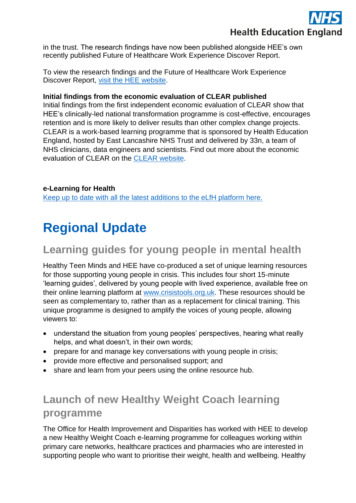

in the trust. The research findings have now been published alongside HEE's own recently published Future of Healthcare Work Experience Discover Report.

To view the research findings and the Future of Healthcare Work Experience Discover Report, [visit the HEE website.](https://www.hee.nhs.uk/our-work/work-experience-pre-employment-activity)

#### **Initial findings from the economic evaluation of CLEAR published**

Initial findings from the first independent economic evaluation of CLEAR show that HEE's clinically-led national transformation programme is cost-effective, encourages retention and is more likely to deliver results than other complex change projects. CLEAR is a work-based learning programme that is sponsored by Health Education England, hosted by East Lancashire NHS Trust and delivered by 33n, a team of NHS clinicians, data engineers and scientists. Find out more about the economic evaluation of CLEAR on the [CLEAR website.](https://clearprogramme.org.uk/2021/11/10/initial-findings-from-the-economic-evaluation-of-clear-show-the-programme-is-cost-effective-encourages-retention-and-is-more-likely-to-deliver-results/)

### **e-Learning for Health**

[Keep up to date with all the latest additions to the eLfH platform here.](https://www.e-lfh.org.uk/news/)

# **Regional Update**

### **Learning guides for young people in mental health**

Healthy Teen Minds and HEE have co-produced a set of unique learning resources for those supporting young people in crisis. This includes four short 15-minute 'learning guides', delivered by young people with lived experience, available free on their online learning platform at [www.crisistools.org.uk.](https://protect-eu.mimecast.com/s/n7U3CAMgqtnZ8l4CYbLyn?domain=eur01.safelinks.protection.outlook.com) These resources should be seen as complementary to, rather than as a replacement for clinical training. This unique programme is designed to amplify the voices of young people, allowing viewers to:

- understand the situation from young peoples' perspectives, hearing what really helps, and what doesn't, in their own words;
- prepare for and manage key conversations with young people in crisis;
- provide more effective and personalised support; and
- share and learn from your peers using the online resource hub.

## **Launch of new Healthy Weight Coach learning programme**

The Office for Health Improvement and Disparities has worked with HEE to develop a new Healthy Weight Coach e-learning programme for colleagues working within primary care networks, healthcare practices and pharmacies who are interested in supporting people who want to prioritise their weight, health and wellbeing. Healthy